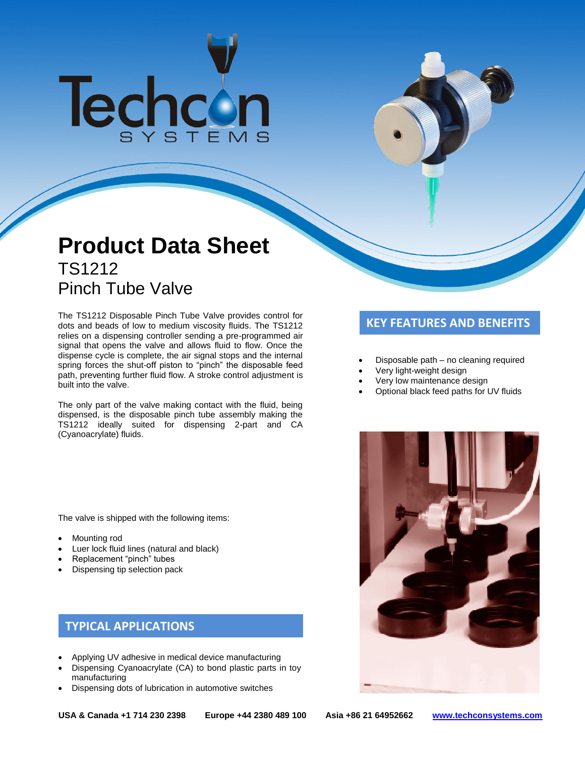# **Techcon**

# **Product Data Sheet** TS1212 Pinch Tube Valve

The TS1212 Disposable Pinch Tube Valve provides control for **The TST CONTABT CONTABT OF THE TST AND BENEFITS**<br>dots and beads of low to medium viscosity fluids. The TS1212 relies on a dispensing controller sending a pre-programmed air signal that opens the valve and allows fluid to flow. Once the dispense cycle is complete, the air signal stops and the internal spring forces the shut-off piston to "pinch" the disposable feed path, preventing further fluid flow. A stroke control adjustment is built into the valve.

The only part of the valve making contact with the fluid, being dispensed, is the disposable pinch tube assembly making the TS1212 ideally suited for dispensing 2-part and CA (Cyanoacrylate) fluids.

The valve is shipped with the following items:

- Mounting rod
- Luer lock fluid lines (natural and black)
- Replacement "pinch" tubes
- Dispensing tip selection pack

## **TYPICAL APPLICATIONS**

- Applying UV adhesive in medical device manufacturing
- Dispensing Cyanoacrylate (CA) to bond plastic parts in toy manufacturing
- Dispensing dots of lubrication in automotive switches

- Disposable path no cleaning required
- Very light-weight design
- Very low maintenance design
- Optional black feed paths for UV fluids